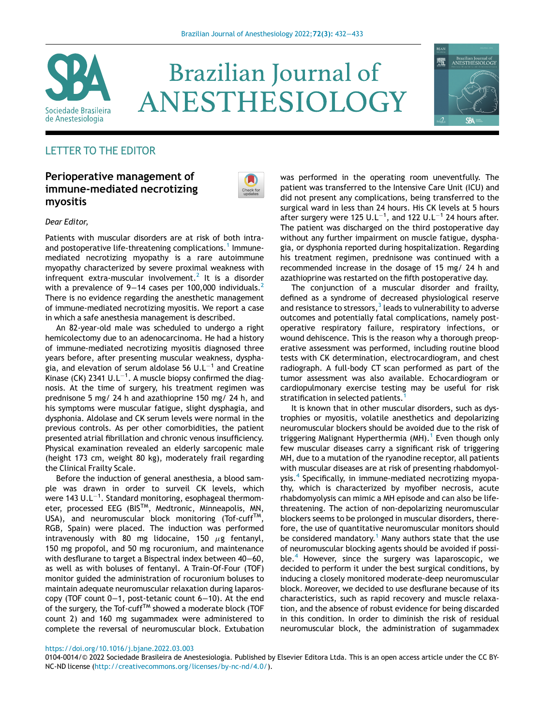

# **Brazilian Journal of** ANESTHESIOLOGY



# LETTER TO THE EDITOR

## Perioperative management of immune-mediated necrotizing myositis



#### Dear Editor,

Patients with muscular disorders are at risk of both intra-and postoperative life-threatening complications.<sup>[1](#page-1-0)</sup> Immunemediated necrotizing myopathy is a rare autoimmune myopathy characterized by severe proximal weakness with infrequent extra-muscular involvement.<sup>[2](#page-1-1)</sup> It is a disorder with a prevalence of 9–14 cases per 100,000 individuals.<sup>[2](#page-1-1)</sup> There is no evidence regarding the anesthetic management of immune-mediated necrotizing myositis. We report a case in which a safe anesthesia management is described.

An 82-year-old male was scheduled to undergo a right hemicolectomy due to an adenocarcinoma. He had a history of immune-mediated necrotizing myositis diagnosed three years before, after presenting muscular weakness, dysphagia, and elevation of serum aldolase 56  $UL^{-1}$  and Creatine Kinase (CK) 2341 U.L $^{-1}$ . A muscle biopsy confirmed the diagnosis. At the time of surgery, his treatment regimen was prednisone 5 mg/ 24 h and azathioprine 150 mg/ 24 h, and his symptoms were muscular fatigue, slight dysphagia, and dysphonia. Aldolase and CK serum levels were normal in the previous controls. As per other comorbidities, the patient presented atrial fibrillation and chronic venous insufficiency. Physical examination revealed an elderly sarcopenic male (height 173 cm, weight 80 kg), moderately frail regarding the Clinical Frailty Scale.

Before the induction of general anesthesia, a blood sample was drawn in order to surveil CK levels, which were 143 U.L $^{-1}$ . Standard monitoring, esophageal thermometer, processed EEG (BIS<sup>TM</sup>, Medtronic, Minneapolis, MN, USA), and neuromuscular block monitoring (Tof-cuff<sup>TM</sup>, RGB, Spain) were placed. The induction was performed intravenously with 80 mg lidocaine, 150  $\mu$ g fentanyl, 150 mg propofol, and 50 mg rocuronium, and maintenance with desflurane to target a Bispectral index between 40−60, as well as with boluses of fentanyl. A Train-Of-Four (TOF) monitor guided the administration of rocuronium boluses to maintain adequate neuromuscular relaxation during laparoscopy (TOF count 0−1, post-tetanic count 6−10). At the end of the surgery, the Tof-cuff<sup>TM</sup> showed a moderate block (TOF count 2) and 160 mg sugammadex were administered to complete the reversal of neuromuscular block. Extubation

was performed in the operating room uneventfully. The patient was transferred to the Intensive Care Unit (ICU) and did not present any complications, being transferred to the surgical ward in less than 24 hours. His CK levels at 5 hours after surgery were 125  $UL^{-1}$ , and 122  $UL^{-1}$  24 hours after. The patient was discharged on the third postoperative day without any further impairment on muscle fatigue, dysphagia, or dysphonia reported during hospitalization. Regarding his treatment regimen, prednisone was continued with a recommended increase in the dosage of 15 mg/ 24 h and azathioprine was restarted on the fifth postoperative day.

The conjunction of a muscular disorder and frailty, defined as a syndrome of decreased physiological reserve and resistance to stressors, $3$  leads to vulnerability to adverse outcomes and potentially fatal complications, namely postoperative respiratory failure, respiratory infections, or wound dehiscence. This is the reason why a thorough preoperative assessment was performed, including routine blood tests with CK determination, electrocardiogram, and chest radiograph. A full-body CT scan performed as part of the tumor assessment was also available. Echocardiogram or cardiopulmonary exercise testing may be useful for risk stratification in selected patients.<sup>[1](#page-1-0)</sup>

It is known that in other muscular disorders, such as dystrophies or myositis, volatile anesthetics and depolarizing neuromuscular blockers should be avoided due to the risk of triggering Malignant Hyperthermia  $(MH)$ .<sup>[1](#page-1-0)</sup> Even though only few muscular diseases carry a significant risk of triggering MH, due to a mutation of the ryanodine receptor, all patients with muscular diseases are at risk of presenting rhabdomyolysis.[4](#page-1-3) Specifically, in immune-mediated necrotizing myopathy, which is characterized by myofiber necrosis, acute rhabdomyolysis can mimic a MH episode and can also be lifethreatening. The action of non-depolarizing neuromuscular blockers seems to be prolonged in muscular disorders, therefore, the use of quantitative neuromuscular monitors should be considered mandatory.<sup>[1](#page-1-0)</sup> Many authors state that the use of neuromuscular blocking agents should be avoided if possi-ble.<sup>[4](#page-1-3)</sup> However, since the surgery was laparoscopic, we decided to perform it under the best surgical conditions, by inducing a closely monitored moderate-deep neuromuscular block. Moreover, we decided to use desflurane because of its characteristics, such as rapid recovery and muscle relaxation, and the absence of robust evidence for being discarded in this condition. In order to diminish the risk of residual neuromuscular block, the administration of sugammadex

#### <https://doi.org/10.1016/j.bjane.2022.03.003>

0104-0014/© 2022 Sociedade Brasileira de Anestesiologia. Published by Elsevier Editora Ltda. This is an open access article under the CC BY-NC-ND license [\(http://creativecommons.org/licenses/by-nc-nd/4.0/](http://creativecommons.org/licenses/by-nc-nd/4.0/)).